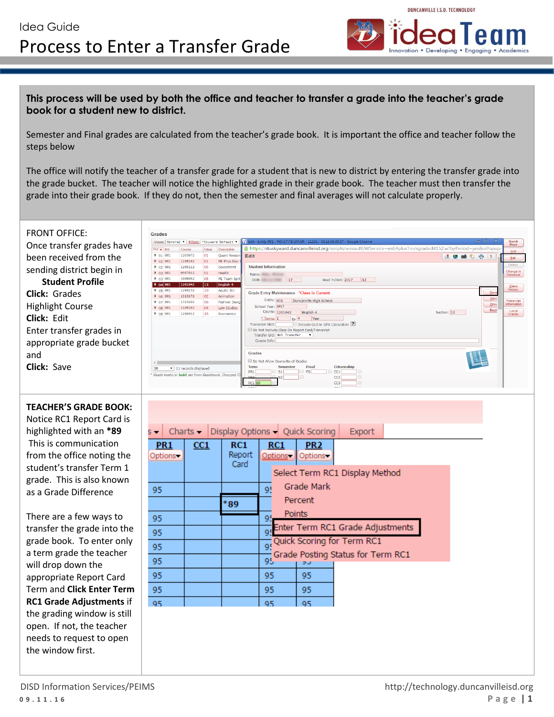

## **This process will be used by both the office and teacher to transfer a grade into the teacher's grade book for a student new to district.**

Semester and Final grades are calculated from the teacher's grade book. It is important the office and teacher follow the steps below

The office will notify the teacher of a transfer grade for a student that is new to district by entering the transfer grade into the grade bucket. The teacher will notice the highlighted grade in their grade book. The teacher must then transfer the grade into their grade book. If they do not, then the semester and final averages will not calculate properly.

| <b>FRONT OFFICE:</b><br>Once transfer grades have<br>been received from the<br>sending district begin in<br><b>Student Profile</b><br><b>Click: Grades</b><br><b>Highlight Course</b><br>Click: Edit<br>Enter transfer grades in<br>appropriate grade bucket<br>and<br><b>Click: Save</b>                                                                                                                                                                                                                                                                                       | <b>Grades</b><br>G Edit - Entity 001 - WS\ST\TB\GR\GR - 11331 - 05.16.06.00.07 - Google Chron<br>Views: General v Filters: *Skyward Default v<br>https://stuskyward.duncanvilleisd.org/scripts/wsisa.dll/WService=wsEAplusTrn/sgradedit152.w?byPeriod=yes&isPopup<br>$Prd \triangleq$ Ent<br>Class<br>Description<br>Course<br>  01   001  <br>1203072<br>$ 01\rangle$<br>Quant Reason<br>Edit<br>A 5 6 1 5 7<br>  02   001<br>1108142<br> 01 <br>PE Phys Dev<br><b>Student Information</b><br>  02   001<br>1205112<br>$ 05\rangle$<br>Governmnt<br> 8.03 801<br>0907012<br> 01 <br>Health<br>Name: Name<br>$P = 03001$<br>1008062<br>05<br>PE Team Spr<br>DOB: 17<br>Grad Yr/Grd: 2017 12<br>  04   001<br>1201042<br>$ 13\rangle$<br>English 4<br>1204132<br>$b$ 05 001<br>10<br>Aqutic Sci<br>$\frac{5}{2}$<br>Grade Entry Maintenance *Class is Current<br>  06  001<br>1313172<br>02<br>Animation<br>Next<br>Entity: 001   Duncanville High School<br>$P_{07}$ 001<br>1313202<br>06<br><b>Fashion Desig</b><br>Prev<br>School Year: 2017<br>1105162<br> 8 08 001<br>04<br>Law Studies<br>Back<br>$\begin{array}{c} \text{Local} \\ \text{Credits} \end{array}$<br>Course: 1201042 English 4<br>Section: 13<br>1206012<br>$\rho$ 08 001<br>25<br>Economics<br>Year<br>Include GLO in GPA Calculation ?<br>Transcript GLO:<br>Do Not Include Class On Report Card/Transcript<br>Transfer Grd: Not Transfer<br>Course Info:<br><b>Grades</b><br>Do Not Allow Overwrite of Grades<br><b>Semester</b><br>Final<br>Citizenship<br><b>Term</b><br>20<br>$\blacktriangledown$ 11 records displayed<br>PR1<br>S1<br>$\Box$ FG<br>CC1<br>* Grade marks in <b>bold</b> are from Gradebook. Dropped C | <b>Quick</b><br>Print<br>hha<br>$E$ dit<br>Delete<br>Change to<br>Historical<br>Class<br>History<br>Transcript<br>nformation |
|---------------------------------------------------------------------------------------------------------------------------------------------------------------------------------------------------------------------------------------------------------------------------------------------------------------------------------------------------------------------------------------------------------------------------------------------------------------------------------------------------------------------------------------------------------------------------------|-------------------------------------------------------------------------------------------------------------------------------------------------------------------------------------------------------------------------------------------------------------------------------------------------------------------------------------------------------------------------------------------------------------------------------------------------------------------------------------------------------------------------------------------------------------------------------------------------------------------------------------------------------------------------------------------------------------------------------------------------------------------------------------------------------------------------------------------------------------------------------------------------------------------------------------------------------------------------------------------------------------------------------------------------------------------------------------------------------------------------------------------------------------------------------------------------------------------------------------------------------------------------------------------------------------------------------------------------------------------------------------------------------------------------------------------------------------------------------------------------------------------------------------------------------------------------------------------------------------------------------------------------------------------------------------------------|------------------------------------------------------------------------------------------------------------------------------|
| <b>TEACHER'S GRADE BOOK:</b><br>Notice RC1 Report Card is<br>highlighted with an *89<br>This is communication<br>from the office noting the<br>student's transfer Term 1<br>grade. This is also known<br>as a Grade Difference<br>There are a few ways to<br>transfer the grade into the<br>grade book. To enter only<br>a term grade the teacher<br>will drop down the<br>appropriate Report Card<br>Term and Click Enter Term<br><b>RC1 Grade Adjustments if</b><br>the grading window is still<br>open. If not, the teacher<br>needs to request to open<br>the window first. | CC2<br><b>RC1</b> 89<br>CC3<br>Charts - Display Options - Quick Scoring<br>Export<br>$s -$<br>PR <sub>1</sub><br>RC1<br>CC1<br>RC1<br>PR <sub>2</sub><br>Report<br>Options-<br>Options -<br>Options-<br>Card<br>Select Term RC1 Display Method<br>Grade Mark<br>95<br>95<br>Percent<br>*89<br>Points<br>95<br>95<br>Enter Term RC1 Grade Adjustments<br>95<br>95<br>Quick Scoring for Term RC1<br>95<br>Grade Posting Status for Term RC1<br>95<br>95<br>95<br>95<br>95<br>95<br>95<br>95<br>95<br>95<br>95                                                                                                                                                                                                                                                                                                                                                                                                                                                                                                                                                                                                                                                                                                                                                                                                                                                                                                                                                                                                                                                                                                                                                                                     |                                                                                                                              |